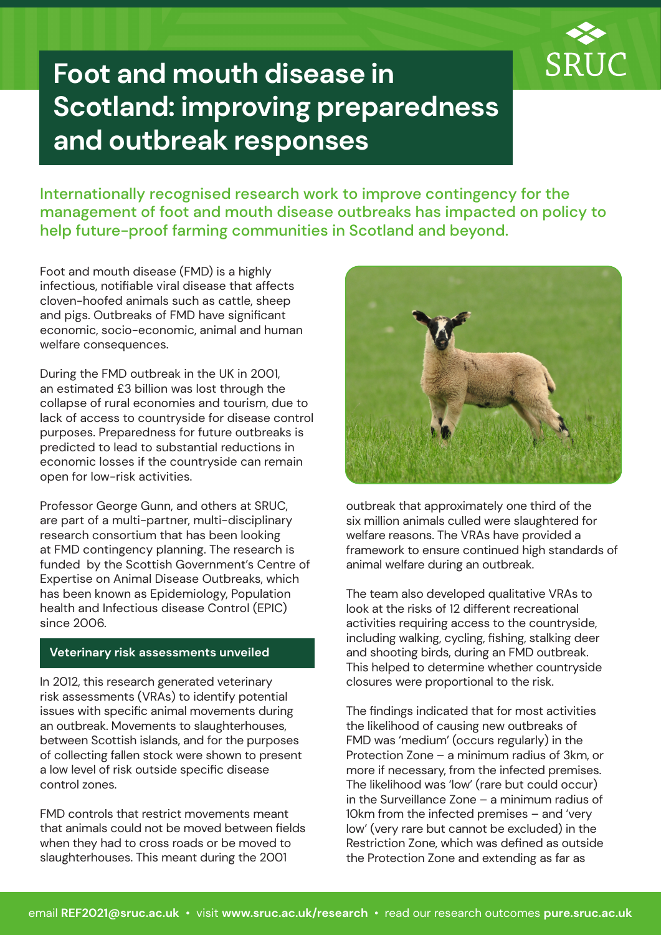

# **Foot and mouth disease in Scotland: improving preparedness and outbreak responses**

Internationally recognised research work to improve contingency for the management of foot and mouth disease outbreaks has impacted on policy to help future-proof farming communities in Scotland and beyond.

Foot and mouth disease (FMD) is a highly infectious, notifiable viral disease that affects cloven-hoofed animals such as cattle, sheep and pigs. Outbreaks of FMD have significant economic, socio-economic, animal and human welfare consequences.

During the FMD outbreak in the UK in 2001, an estimated £3 billion was lost through the collapse of rural economies and tourism, due to lack of access to countryside for disease control purposes. Preparedness for future outbreaks is predicted to lead to substantial reductions in economic losses if the countryside can remain open for low-risk activities.

Professor George Gunn, and others at SRUC, are part of a multi-partner, multi-disciplinary research consortium that has been looking at FMD contingency planning. The research is funded by the Scottish Government's Centre of Expertise on Animal Disease Outbreaks, which has been known as Epidemiology, Population health and Infectious disease Control (EPIC) since 2006.

#### **Veterinary risk assessments unveiled**

In 2012, this research generated veterinary risk assessments (VRAs) to identify potential issues with specific animal movements during an outbreak. Movements to slaughterhouses, between Scottish islands, and for the purposes of collecting fallen stock were shown to present a low level of risk outside specific disease control zones.

FMD controls that restrict movements meant that animals could not be moved between fields when they had to cross roads or be moved to slaughterhouses. This meant during the 2001



outbreak that approximately one third of the six million animals culled were slaughtered for welfare reasons. The VRAs have provided a framework to ensure continued high standards of animal welfare during an outbreak.

The team also developed qualitative VRAs to look at the risks of 12 different recreational activities requiring access to the countryside, including walking, cycling, fishing, stalking deer and shooting birds, during an FMD outbreak. This helped to determine whether countryside closures were proportional to the risk.

The findings indicated that for most activities the likelihood of causing new outbreaks of FMD was 'medium' (occurs regularly) in the Protection Zone – a minimum radius of 3km, or more if necessary, from the infected premises. The likelihood was 'low' (rare but could occur) in the Surveillance Zone – a minimum radius of 10km from the infected premises – and 'very low' (very rare but cannot be excluded) in the Restriction Zone, which was defined as outside the Protection Zone and extending as far as